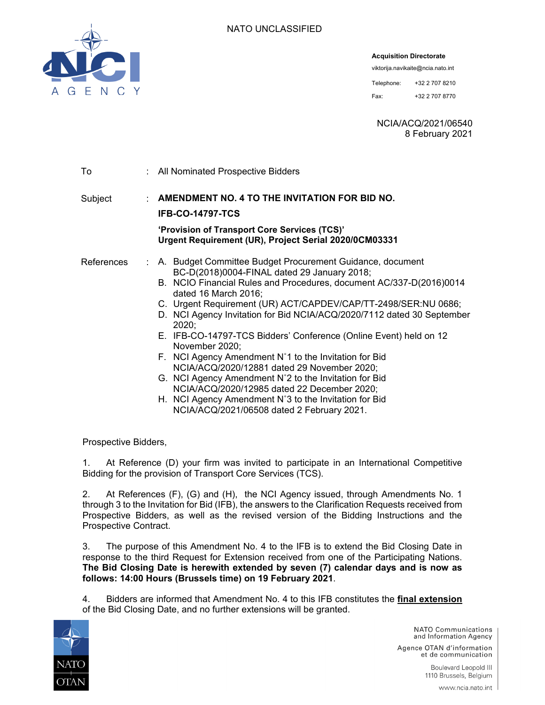**Acquisition Directorate** 

viktorija.navikaite@ncia.nato.int

Telephone: +32 2 707 8210 Fax: +32 2 707 8770

NCIA/ACQ/2021/06540 8 February 2021

| To         | : All Nominated Prospective Bidders                                                                                                                                                                                                                                                                                                                                                                                                                                                                                                                                                                                                                                                                                                                                          |
|------------|------------------------------------------------------------------------------------------------------------------------------------------------------------------------------------------------------------------------------------------------------------------------------------------------------------------------------------------------------------------------------------------------------------------------------------------------------------------------------------------------------------------------------------------------------------------------------------------------------------------------------------------------------------------------------------------------------------------------------------------------------------------------------|
| Subject    | : AMENDMENT NO. 4 TO THE INVITATION FOR BID NO.<br><b>IFB-CO-14797-TCS</b><br>'Provision of Transport Core Services (TCS)'<br>Urgent Requirement (UR), Project Serial 2020/0CM03331                                                                                                                                                                                                                                                                                                                                                                                                                                                                                                                                                                                          |
| References | : A. Budget Committee Budget Procurement Guidance, document<br>BC-D(2018)0004-FINAL dated 29 January 2018;<br>B. NCIO Financial Rules and Procedures, document AC/337-D(2016)0014<br>dated 16 March 2016;<br>C. Urgent Requirement (UR) ACT/CAPDEV/CAP/TT-2498/SER:NU 0686;<br>D. NCI Agency Invitation for Bid NCIA/ACQ/2020/7112 dated 30 September<br>2020;<br>E. IFB-CO-14797-TCS Bidders' Conference (Online Event) held on 12<br>November 2020;<br>F. NCI Agency Amendment N°1 to the Invitation for Bid<br>NCIA/ACQ/2020/12881 dated 29 November 2020;<br>G. NCI Agency Amendment N°2 to the Invitation for Bid<br>NCIA/ACQ/2020/12985 dated 22 December 2020;<br>H. NCI Agency Amendment N°3 to the Invitation for Bid<br>NCIA/ACQ/2021/06508 dated 2 February 2021. |

Prospective Bidders,

1. At Reference (D) your firm was invited to participate in an International Competitive Bidding for the provision of Transport Core Services (TCS).

2. At References (F), (G) and (H), the NCI Agency issued, through Amendments No. 1 through 3 to the Invitation for Bid (IFB), the answers to the Clarification Requests received from Prospective Bidders, as well as the revised version of the Bidding Instructions and the Prospective Contract.

3. The purpose of this Amendment No. 4 to the IFB is to extend the Bid Closing Date in response to the third Request for Extension received from one of the Participating Nations. **The Bid Closing Date is herewith extended by seven (7) calendar days and is now as follows: 14:00 Hours (Brussels time) on 19 February 2021**.

4. Bidders are informed that Amendment No. 4 to this IFB constitutes the **final extension** of the Bid Closing Date, and no further extensions will be granted.



NATO Communications and Information Agency Agence OTAN d'information

et de communication Boulevard Leopold III 1110 Brussels, Belgium

www.ncia.nato.int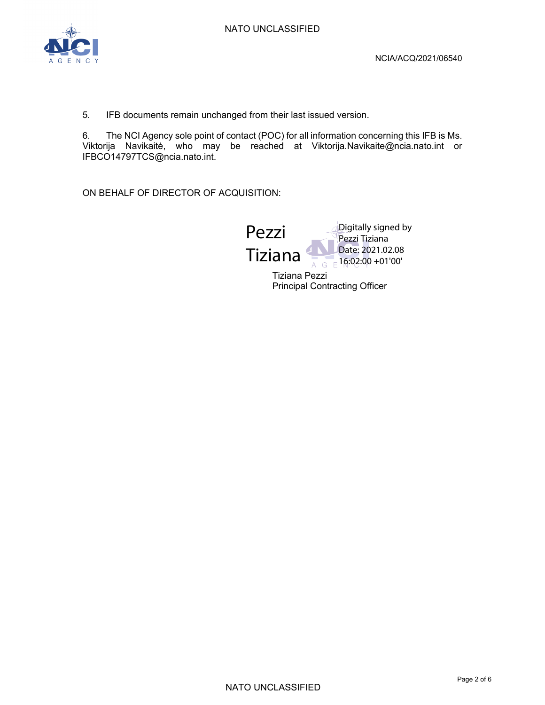

5. IFB documents remain unchanged from their last issued version.

6. The NCI Agency sole point of contact (POC) for all information concerning this IFB is Ms. Viktorija Navikaitė, who may be reached at Viktorija.Navikaite@ncia.nato.int or IFBCO14797TCS@ncia.nato.int.

ON BEHALF OF DIRECTOR OF ACQUISITION:



Tiziana Pezzi Principal Contracting Officer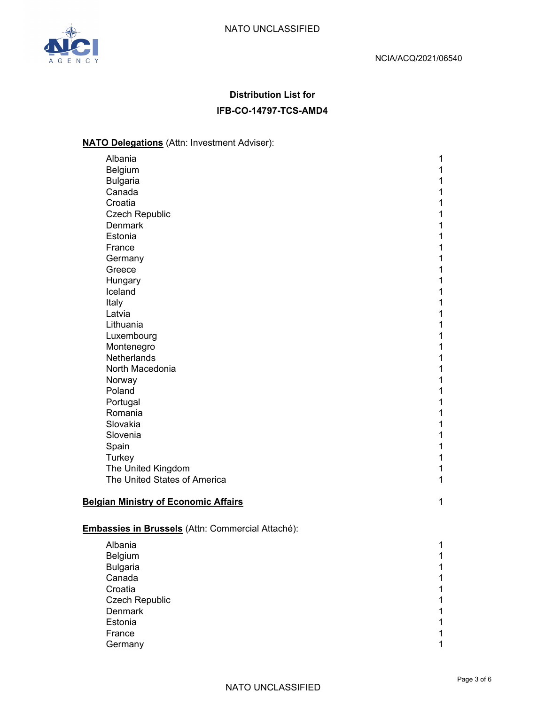

# **Distribution List for IFB-CO-14797-TCS-AMD4**

# **NATO Delegations** (Attn: Investment Adviser):

| Albania                                            | $\mathbf 1$                   |
|----------------------------------------------------|-------------------------------|
| Belgium                                            | $\mathbf 1$                   |
| <b>Bulgaria</b>                                    | $\mathbf{1}$                  |
| Canada                                             | $\mathbf 1$                   |
| Croatia                                            | $\mathbf 1$                   |
| <b>Czech Republic</b>                              | $\mathbf 1$                   |
| <b>Denmark</b>                                     | $\mathbf 1$                   |
| Estonia                                            | 1                             |
| France                                             | $\mathbf 1$                   |
| Germany                                            | $\mathbf 1$                   |
| Greece                                             | $\mathbf 1$                   |
| Hungary                                            | $\mathbf 1$                   |
| Iceland                                            | $\mathbf 1$                   |
| Italy                                              | $\mathbf 1$                   |
| Latvia                                             | $\mathbf 1$                   |
| Lithuania                                          | $\mathbf 1$                   |
| Luxembourg                                         | $\mathbf 1$                   |
| Montenegro                                         | $\mathbf 1$                   |
| Netherlands                                        | 1                             |
| North Macedonia                                    | $\mathbf 1$                   |
| Norway                                             | $\mathbf 1$                   |
| Poland                                             | $\mathbf 1$                   |
| Portugal                                           | $\mathbf 1$                   |
| Romania                                            | $\mathbf 1$                   |
| Slovakia                                           | $\mathbf 1$                   |
| Slovenia                                           | $\mathbf 1$                   |
| Spain                                              | 1                             |
| Turkey                                             | $\mathbf 1$                   |
| The United Kingdom<br>The United States of America | $\mathbf 1$<br>$\overline{1}$ |
|                                                    |                               |
| <b>Belgian Ministry of Economic Affairs</b>        | 1                             |
|                                                    |                               |
|                                                    |                               |
| Embassies in Brussels (Attn: Commercial Attaché):  |                               |
| Albania                                            | 1                             |
| Belgium                                            | $\mathbf 1$                   |
| <b>Bulgaria</b>                                    | $\mathbf 1$                   |
| Canada                                             | $\mathbf 1$                   |
| Croatia                                            | $\mathbf 1$                   |
| <b>Czech Republic</b>                              | 1                             |
| <b>Denmark</b>                                     | 1                             |

Estonia 1 **France** 1 **1** Germany 1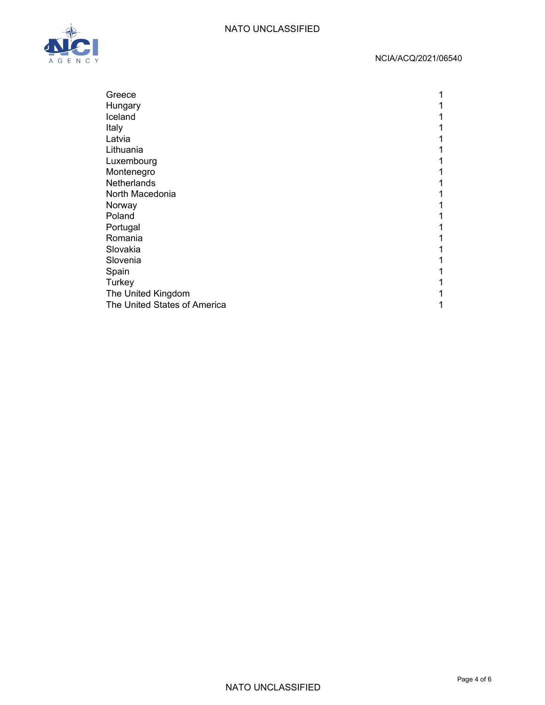#### NATO UNCLASSIFIED



#### NCIA/ACQ/2021/06540

| Greece                       |  |
|------------------------------|--|
| Hungary                      |  |
| Iceland                      |  |
| Italy                        |  |
| Latvia                       |  |
| Lithuania                    |  |
| Luxembourg                   |  |
| Montenegro                   |  |
| Netherlands                  |  |
| North Macedonia              |  |
| Norway                       |  |
| Poland                       |  |
| Portugal                     |  |
| Romania                      |  |
| Slovakia                     |  |
| Slovenia                     |  |
| Spain                        |  |
| Turkey                       |  |
| The United Kingdom           |  |
| The United States of America |  |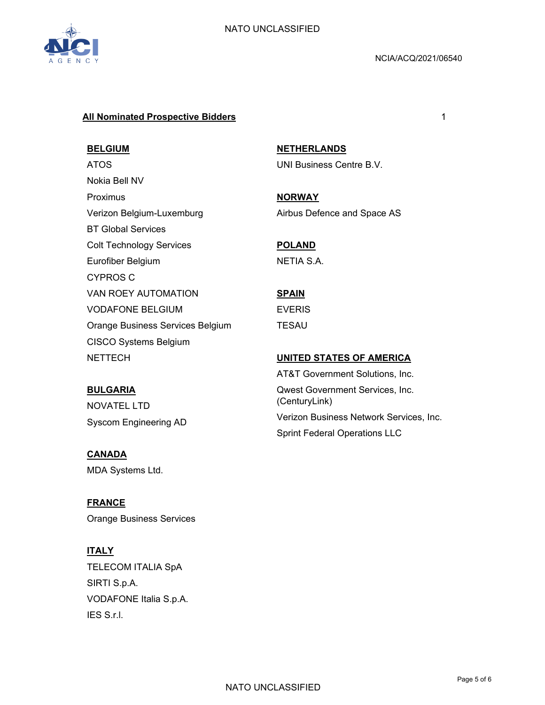

#### **All Nominated Prospective Bidders** 1

#### **BELGIUM**

ATOS Nokia Bell NV Proximus Verizon Belgium-Luxemburg BT Global Services Colt Technology Services Eurofiber Belgium CYPROS C VAN ROEY AUTOMATION VODAFONE BELGIUM Orange Business Services Belgium CISCO Systems Belgium **NETTECH** 

#### **BULGARIA**

NOVATEL LTD Syscom Engineering AD

#### **CANADA**

MDA Systems Ltd.

**FRANCE**  Orange Business Services

# **ITALY**

TELECOM ITALIA SpA SIRTI S.p.A. VODAFONE Italia S.p.A. IES S.r.l.

**NETHERLANDS**  UNI Business Centre B.V.

**NORWAY** 

Airbus Defence and Space AS

# **POLAND**

NETIA S.A.

# **SPAIN**

EVERIS

TESAU

#### **UNITED STATES OF AMERICA**

AT&T Government Solutions, Inc. Qwest Government Services, Inc. (CenturyLink) Verizon Business Network Services, Inc. Sprint Federal Operations LLC